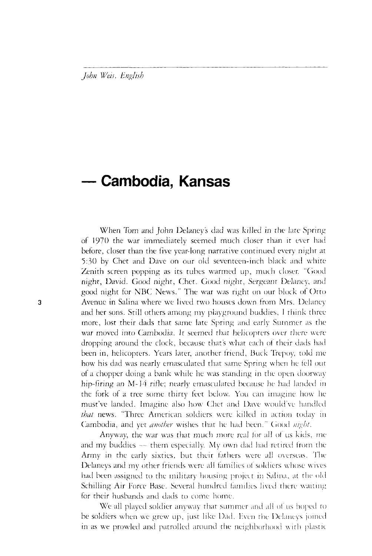*John Weis, English* 

## **— Cambodia, Kansas**

When Tom and John Delaney's dad was killed in the late Spring of 1970 the war immediately seemed much closer than it ever had before, closer than the five year-long narrative continued every nighr at 5:30 by Chet and Dave on our old seventeen-inch black and white Zenith screen popping as its tubes warmed up, much closer. "Good night, David. Good night, Chet. Good night, Sergeant Delaney, anil good night for NBC News." The war was right on our block of Orto 3 Avenue in Salina where we lived two houses down from Mrs. Delaney and her sons. Still others among my playground buddies, 1 think three more, lost their dads that same late Spring and early Summer as the war moved into Cambodia. It seemed that helicopters over there were dropping around the clock, because that's what each of their dads had been in, helicopters. Years later, another friend, Buck Trepoy, told me how his dad was nearly emasculated that same Spring when he fell out of a chopper doing a bank while he was standing in the open doorway hip-firing an M-14 rifle; nearly emasculated because he had landed in the fork of a tree some thirty feet below. You can imagine how he must've landed. Imagine also how Chet and Dave would've handled *that* news. "Three American soldiers were killed in action today in Cambodia, and yet *another* wishes that he had been." Good *night.* 

> Anyway, the war was that much more real for all of us kids, me and my buddies  $-$  them especially. My own dad had retired from the Army in the early sixties, but their fathers were all overseas. The Delaneys and my other friends were all families of soldiers whose wives had been assigned to the military housing project in Salina, at the old Schilling Air Force Base. Several hundred families lived there waiting for their husbands and dads to come home.

> We all played soldier anyway that summer and all of us hoped to be soldiers when we grew up, just like Dad. Even the Delaneys joined in as we prowled and patrolled around the neighborhood with plastic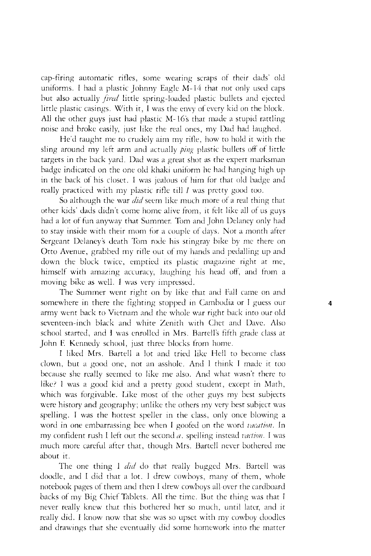cap-firing automatic rifles, some wearing scraps of their dads' old uniforms. I had a plastic Johnny Eagle M-14 that not only used caps but also actually *jired* little spring-loaded plastic bullets and ejected little plastic casings. With it, I was the envy of every kid on the block. All the other guys jusr had plastic M-16's that made a stupid rattling noise and broke easily, just like the real ones, my Dad had laughed.

He'd raught me to crudely aim my rifle, how to hold it with the sling around my left arm and actually *ping* plastic bullets off of little targets in the back yard. Dad was a great shot as the expert marksman badge indicated on the one old khaki uniform he had hanging high up in the back of his closet. 1 was jealous of him for that old badge and really practiced with my plastic rifle till *I* was pretty good too.

So although the war *did* seem like much more of a real thing that other kids' dads didn't come home alive from, it felt like all of us guys had a lot of fun anyway that Summer. Tom and John Delaney only had to stay inside with their mom for a couple of days. Not a month after Sergeant Delaney's death Tom rode his stingray bike by me there on Otto Avenue, grabbed my rifle out of my hands and pedalling up and down the block twice, emptied its plastic magazine right at me, himself with amazing accuracy, laughing his head off, and from a moving bike as well. 1 was very impressed.

The Summer went right on by like that and Fall came on and somewhere in there the fighting stopped in Cambodia or I guess our 4 army went back to Vietnam and the whole war right back into our old seventeen-inch black and white Zenith with Chet and Dave. Also school started, and I was enrolled in Mrs. Bartell's fifth grade class at John F. Kennedy school, just three blocks from home.

I liked Mrs. Bartell a lot and tried like Hell to become class clown, but a good one, not an asshole. And 1 think I made it too because she really seemed to like me also. And what wasn't there to like? 1 was a good kid and a pretty good student, except in Math, which was forgivable. Like most of the other guys my best subjects were history and geography; unlike the others my very best subject was spelling. I was the hottest speller in the class, only once blowing a word in one embarrassing bee when I goofed on rhe word *vacation.* In my confident rush 1 left out the second *a,* spelling instead *faction.* I was much more careful after that, though Mrs. Bartell never bothered me about it.

The one thing 1 *did* do that really bugged Mrs. Bartell was doodle, and I did that a lot. I drew cowboys, many of them, whole notebook pages of them and then I drew cowboys all over the cardboard backs of my Big Chief Tablets. All the time. But the thing was that I never really knew that this bothered her so much, until later, and it really did. I know now that she was so upset with my cowboy doodles and drawings that she eventually did some homework into the matter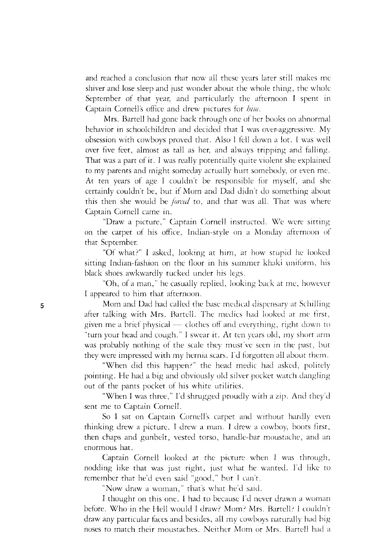and reached a conclusion that now all these years later still makes me shiver and lose sleep and just wonder about the whole thing, the whole September of that year, and particularly the afternoon I spent in Captain Cornell's office and drew pictures for *him.* 

Mrs. Bartell had gone back through one of her books on abnormal behavior in schoolchildren and decided that I was over-aggressive. My obsession with cowboys proved that. Also I fell down a lot. 1 was well over five feet, almost as tall as her, and always tripping and falling. That was a part of it. I was really potentially quite violent she explained to my parents and might someday actually hurt somebody, or even me. At ten years of age I couldn't be responsible for myself, and she certainly couldn't be, but if Mom and Dad didn't do something about this then she would be *jorad* to, and that was all. That was where Captain Cornell came in.

"Draw a picture," Captain Cornell instructed. We were sirting on the carpet of his office, Indian-style on a Monday afternoon of that September.

"Of what?" I asked, looking at him, at how stupid he looked sitting Indian-fashion on the floor in his summer khaki uniform, his black shoes awkwardly tucked under his legs.

"Oh, of a man," he casually replied, looking back at rne, however I appeared to him that afternoon.

5 Mom and Dad had called the base medical dispensary at Schilling after talking with Mrs. Bartell. The medics had looked at me first, given me a brief physical — clothes off and everything, right down to "turn your head and cough." 1 swear it. At ten years old, my short arm was probably nothing of the scale they must've seen in the past, but they were impressed with my hernia scars. I'd forgotten all about them.

> "When did this happen?" the head medic had asked, politely pointing. He had a big and obviously old silver pocket watch dangling out of the pants pocket of his white utilities.

> "When I was three," I'd shrugged proudly with a zip. And they'd sent me to Captain Cornell.

> So I sat on Captain Cornell's carpet and without hardly even thinking drew a picture. I drew a man. I drew a cowboy, boots first, then chaps and gunbelt, vested torso, handle-bar moustache, and an enormous hat.

> Captain Cornell looked at the picture when I was through, nodding like that was just right, just what he wanted. I'd like to remember that he'd even said "good," but I can't.

"Now draw a woman," that's what he'd said.

I thought on this one. I had to because I'd never drawn a woman before. Who in the Hell would I draw? Mom? Mrs. Bartell? I couldn't draw any particular faces and besides, all my cowboys naturally had big noses ro match their moustaches. Neither Mom or Mrs. Bartell had a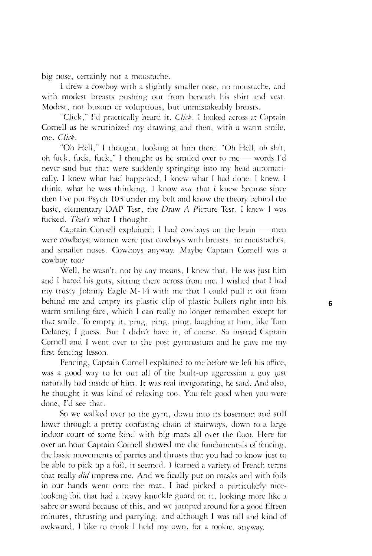big nose, certainly not a moustache.

1 drew a cowboy with a slightly smaller nose, no moustache, and with modest breasts pushing out from beneath his shirt and vest. Modest, not buxom or voluptious, but unmistakeably breasts.

"Click," I'd practically heard it. *Click.* 1 looked across at Captain Cornell as he scrutinized my drawing and then, with a warm smile, me. *Click.* 

"Oh Hell," I thought, looking at him there. "Oh Hell, oh shit, oh fuck, fuck, fuck," I thought as he smiled over to me — words I'd never said bur that were suddenly springing into my head automatically. 1 knew what had happened; 1 knew what 1 had done. 1 knew, I think, what he was thinking. I know *now* that 1 knew because sincethen I've put Psych 103 under my belt and know the theory behind the basic, elementary DAP Test, the Draw *A* Picture Test. I knew I was fucked. *That's* what I thought.

Captain Cornell explained: I had cowboys on the brain — men were cowboys; women were just cowboys with breasts, no moustaches, and smaller noses. Cowboys anyway. Maybe Captain Cornell was a cowboy too?

Well, he wasn't, not by any means, I knew that. He was just him and I hated his guts, sitting there across from me. I wished that I had my trusty Johnny Eagle M-14 with me that 1 could pull it out from behind me and empty its plastic clip of plastic bullets right into his warm-smiling face, which I can really no longer remember, except for that smile. To empty it, ping, ping, ping, laughing at him, like Tom Delaney, I guess. But I didn't have it, of course. So instead Captain Cornell and I went over to the post gymnasium and he gave me my first fencing lesson.

Fencing, Captain Cornell explained to me before we left his office, was a good way to let out all of the built-up aggression a guy just naturally had inside of him. It was real invigorating, he said. And also, he thought it was kind of relaxing too. You felt good when you were done, I'd see that.

So we walked over to the gym, down into its basement and still lower through a pretty confusing chain of stairways, down to a large indoor court of some kind with big mats all over the floor. Here for over an hour Captain Cornell showed me the fundamentals of fencing, the basic movements of parries and thrusts that you had to know just to be able to pick up a foil, it seemed. I learned a variety of French terms that really *did* impress me. And we finally put on masks and with foils in our hands went onto the mat. I had picked a particularly nicelooking foil that had a heavy knuckle guard on it, looking more like a sabre or sword because of this, and we jumped around for a good fifteen minutes, thrusting and parrying, and although I was tall and kind of awkward, I like to think I held my own, for a rookie, anyway.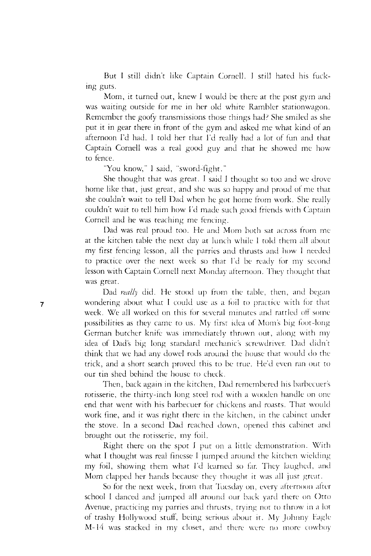But I still didn't like Captain Cornell. I still hated his fucking guts.

Mom, it turned out, knew J would be there at the post gym and was waiting outside for me in her old white Rambler stationwagon. Remember the goofy transmissions those things had? She smiled as she put it in gear there in front of the gym and asked me what kind of an afternoon I'd had. I told her that I'd really had a lot of fun and that Captain Cornell was a real good guy and that he showed me how to fence.

"You know," 1 said, "sword-fight."

She thought that was great. I said 1 thought so too and we drove home like that, just great, and she was so happy and proud of me that she couldn't wait to tell Dad when he got home from work. She really couldn't wait to tell him how I'd made such good friends with Captain Cornell and he was teaching me fencing.

Dad was real proud too. He and Mom both sat across from me at the kitchen table the next day at lunch while I told them all about my first fencing lesson, all the parries and thrusts and how I needed to practice over the next week so that I'd be ready for my second lesson with Captain Cornell next Monday afternoon. They thought that was great.

Dad really did. He stood up from the table, then, and began wondering about what I could use as a foil to practice with for that week. We all worked on this for several minutes and rattled off some possibilities as they came to us. My first idea of Mom's big foot-long German butcher knife was immediately thrown out, along with my idea of Dad's big long standard mechanic's screwdriver. Dad didn't think that we had any dowel rods around the house that would do the trick, and a short search proved this to be true. He'd even ran out to our tin shed behind the house to check.

Then, back again in the kitchen, Dad remembered his barbecuer's rotisserie, the thirty-inch long steel rod with a wooden handle on oneend that went with his barbecuer for chickens and roasts. That would work fine, and it was right there in the kitchen, in the cabinet under the stove. In a second Dad reached down, opened this cabinet and brought out the rotisserie, my foil.

Right there on the spot I put on a little demonstration. With what I thought was real finesse I jumped around the kitchen wielding my foil, showing them what I'd learned so far. They laughed, and Mom clapped her hands because they thought it was all just great.

So for the next week, from that Tuesday on, every afternoon alter school I danced and jumped all around our back yard there on Otto Avenue, practicing my parries and thrusts, trying not to throw in a lot of trashy Hollywood stuff, being serious about it. My Johnny Fagle M-14 was stacked in my closet, and there were no more cowboy

 $\overline{7}$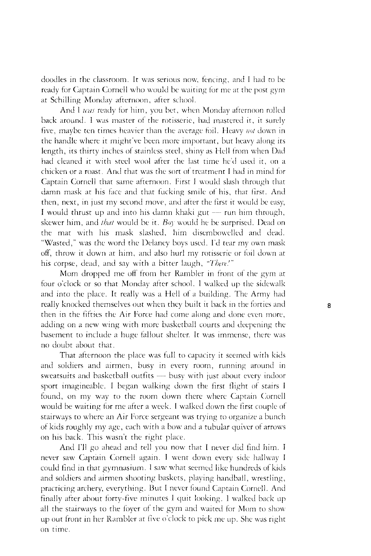doodles in the classroom. It was serious now, fencing, and I had to be ready for Captain Cornell who would be waiting for me at the post gym at Schilling Monday afternoon, after school.

And 1 *was* ready for him, you bet, when Monday afternoon rolled back around. 1 was master of the rotissene, had mastered it, it surely five, maybe ten times heavier than the average foil. Heavy *not* down in the handle where it might've been more important, but heavy along its length, its thirty inches of stainless steel, shiny as Hell from when Dad had cleaned it with steel wool after the last time he'd used it, on a chicken or a roast. And that was the sort of treatment 1 had in mind for Captain Cornell that same afternoon. First 1 would slash through that damn mask at his face and that fucking smile of his, that first. And then, next, in just my second move, and alter the first it would be easy, I would thrust up and into his damn khaki gut — run him through, skewer him, and *that* would be it. *Boy* would he be surprised. Dead on the mat with his mask slashed, him disembowelled and dead. "Wasted," was the word the Delaney boys used. I'd tear my own mask off, throw it down at him, and also hurl my rotisserie or foil down at his corpse, dead, and say with a bitter laugh, *"There.'"* 

Mom dropped me off from her Rambler in front of the gym at four o'clock or so that Monday after school. 1 walked up the sidewalk and into the place. It really was a Hell of a building. The Army had really knocked themselves out when they built it back in the forties and **8** then in the fifties the Air Force had come along and done even more, adding on a new wing with more basketball courts and deepening the basement to include a huge fallout shelter. It was immense, there was no doubt about that.

That afternoon the place was full to capacity it seemed with kids and soldiers and airmen, busy in every room, running around in sweatsuits and basketball outfits — busy with just about every indoor sport imagineable. I began walking down the first flight of stairs I found, on my way to the room down there where Captain Cornell would be waiting for me after a week. I walked down the first couple of stairways to where an Air Force sergeant was trying to organize a bunch of kids roughly my age, each with a bow and a tubular quiver of arrows on his back. This wasn't the right place.

And I'll go ahead and tell you now that I never did find him. I never saw Captain Cornell again. I went down every side hallway J could find in that gymnasium. 1 saw what seemed like hundreds of kids and soldiers and airmen shooting baskets, playing handball, wrestling, practicing archery, everything. But I never found Captain Cornell. And finally after about forty-five minutes I quit looking. I walked back up all the stairways to the foyer of the gym and waited for Mom to show up out front in her Rambler at five o'clock to pick me up. She was right on time.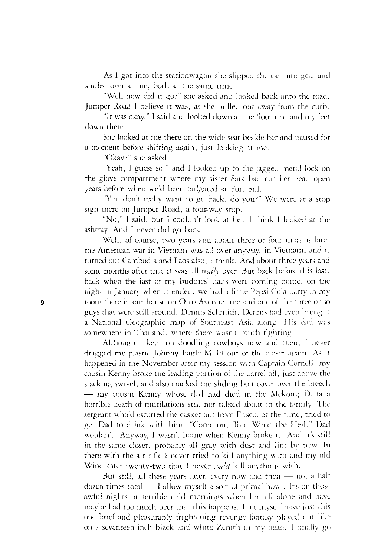As 1 got into the stationwagon she slipped the car into gear and smiled over at me, both at the same time.

"Well how did it go?" she asked and looked back onto the road, Jumper Road I believe it was, as she pulled out away from the curb.

"It was okay," I said and looked down at the floor mat and my feet down there.

She looked at me there on the wide seat beside her and paused for a moment before shifting again, just looking at me.

"Okay?" she asked.

"Yeah, I guess so," and I looked up to the jagged metal lock on the glove compartment where my sister Sara had cut her head open years before when we'd been tailgated at Fort Sill.

"You don't really want to go back, do you?" We were at a stop sign there on Jumper Road, a four-way stop.

"No," I said, but 1 couldn't look at her. I think I looked at the ashtray. And I never did go back.

Well, of course, two years and about three or four months later the American war in Vietnam was all over anyway, in Vietnam, and it turned out Cambodia and Laos also, 1 think. And about three years and some months after that it was all *really* over. But back before this last, back when the last of my buddies' dads were coming home, on the night in January when it ended, we had a little Pepsi Cola party in my 9 room there in our house on Otto Avenue, me and one of the three or so guys that were still around, Dennis Schmidt. Dennis had even brought a National Geographic map of Southeast Asia along. His dad was somewhere in Thailand, where there wasn't much fighting.

> Although I kept on doodling cowboys now and then, I never dragged my plastic Johnny Eagle M-14 out of the closet again. As it happened in the November after my session with Captain Cornell, my cousin Kenny broke the leading portion of the barrel off, just above the stacking swivel, and also cracked the sliding bolt cover over the breech — my cousin Kenny whose dad had died in the Mekong Delta a horrible death of mutilations still not talked about in the family. The sergeant who'd escorted the casket out from Frisco, at the time, tried to get Dad to drink with him. "Come on, Top. What the Hell." Dad wouldn't. Anyway, I wasn't home when Kenny broke it. And it's still in the same closet, probably all gray with dust and lint by now. In there with the air rifle 1 never tried to kill anything with and my old Winchester twenty-two that I never *could* kill anything with.

> But still, all these years later, every now and then — not a half dozen times total  $-1$  allow myself a sort of primal howl. It's on those awful nights or terrible cold mornings when I'm all alone and havemaybe had too much beer that this happens. I let myself have just this one brief and pleasurably frightening revenge fantasy played out like on a seventeen-inch black and white Zenith in my head. I finally go